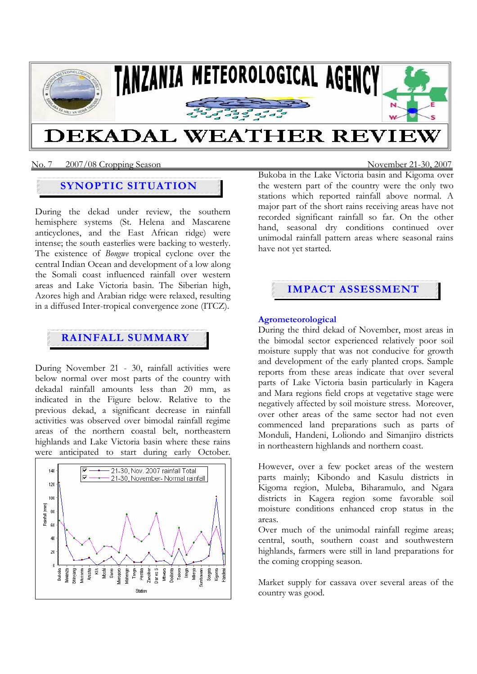

#### No. 7 2007/08 Cropping SeasonNovember 21-30, 2007

## **SYNOPTIC SITUATION**

During the dekad under review, the southern hemisphere systems (St. Helena and Mascarene anticyclones, and the East African ridge) were intense; the south easterlies were backing to westerly. The existence of *Bongwe* tropical cyclone over the central Indian Ocean and development of a low along the Somali coast influenced rainfall over western areas and Lake Victoria basin. The Siberian high, Azores high and Arabian ridge were relaxed, resulting in a diffused Inter-tropical convergence zone (ITCZ).

## **RAINFALL SUMMARY**

During November 21 - 30, rainfall activities were below normal over most parts of the country with dekadal rainfall amounts less than 20 mm, as indicated in the Figure below. Relative to the previous dekad, a significant decrease in rainfall activities was observed over bimodal rainfall regime areas of the northern coastal belt, northeastern highlands and Lake Victoria basin where these rains were anticipated to start during early October.



Bukoba in the Lake Victoria basin and Kigoma over the western part of the country were the only two stations which reported rainfall above normal. A major part of the short rains receiving areas have not recorded significant rainfall so far. On the other hand, seasonal dry conditions continued over unimodal rainfall pattern areas where seasonal rains have not yet started.

# **IMPACT ASSESSMENT**

#### **Agrometeorological**

During the third dekad of November, most areas in the bimodal sector experienced relatively poor soil moisture supply that was not conducive for growth and development of the early planted crops. Sample reports from these areas indicate that over several parts of Lake Victoria basin particularly in Kagera and Mara regions field crops at vegetative stage were negatively affected by soil moisture stress. Moreover, over other areas of the same sector had not even commenced land preparations such as parts of Monduli, Handeni, Loliondo and Simanjiro districts in northeastern highlands and northern coast.

However, over a few pocket areas of the western parts mainly; Kibondo and Kasulu districts in Kigoma region, Muleba, Biharamulo, and Ngara districts in Kagera region some favorable soil moisture conditions enhanced crop status in the areas.

Over much of the unimodal rainfall regime areas; central, south, southern coast and southwestern highlands, farmers were still in land preparations for the coming cropping season.

Market supply for cassava over several areas of the country was good.